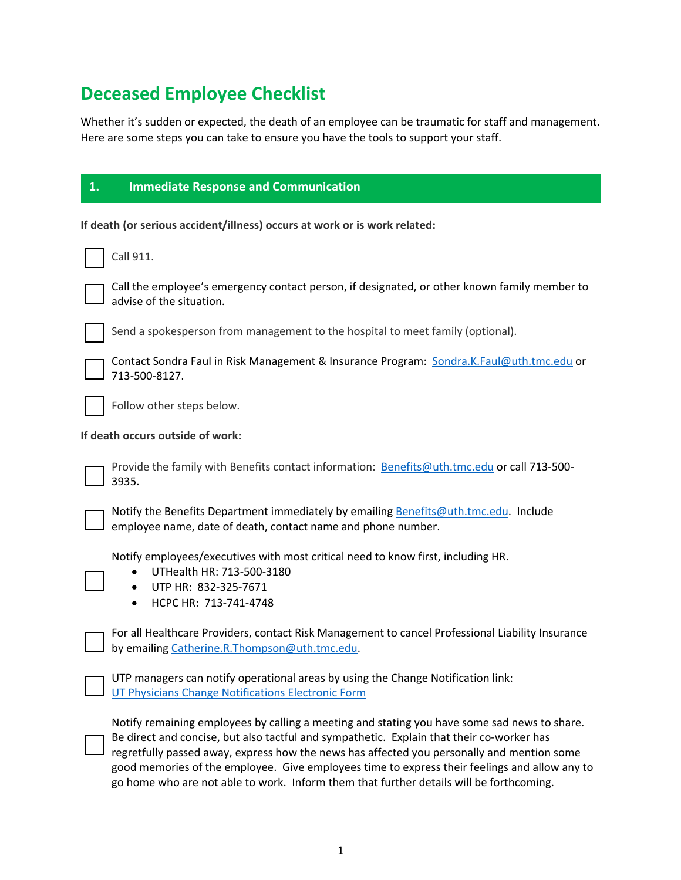## **Deceased Employee Checklist**

Whether it's sudden or expected, the death of an employee can be traumatic for staff and management. Here are some steps you can take to ensure you have the tools to support your staff.

| 1.                                                                        | <b>Immediate Response and Communication</b>                                                                                                                                                                                                                                                                                                                                                                                                                                         |  |
|---------------------------------------------------------------------------|-------------------------------------------------------------------------------------------------------------------------------------------------------------------------------------------------------------------------------------------------------------------------------------------------------------------------------------------------------------------------------------------------------------------------------------------------------------------------------------|--|
| If death (or serious accident/illness) occurs at work or is work related: |                                                                                                                                                                                                                                                                                                                                                                                                                                                                                     |  |
|                                                                           | Call 911.                                                                                                                                                                                                                                                                                                                                                                                                                                                                           |  |
|                                                                           | Call the employee's emergency contact person, if designated, or other known family member to<br>advise of the situation.                                                                                                                                                                                                                                                                                                                                                            |  |
|                                                                           | Send a spokesperson from management to the hospital to meet family (optional).                                                                                                                                                                                                                                                                                                                                                                                                      |  |
|                                                                           | Contact Sondra Faul in Risk Management & Insurance Program: Sondra.K.Faul@uth.tmc.edu or<br>713-500-8127.                                                                                                                                                                                                                                                                                                                                                                           |  |
|                                                                           | Follow other steps below.                                                                                                                                                                                                                                                                                                                                                                                                                                                           |  |
| If death occurs outside of work:                                          |                                                                                                                                                                                                                                                                                                                                                                                                                                                                                     |  |
|                                                                           | Provide the family with Benefits contact information: Benefits@uth.tmc.edu or call 713-500-<br>3935.                                                                                                                                                                                                                                                                                                                                                                                |  |
|                                                                           | Notify the Benefits Department immediately by emailing Benefits@uth.tmc.edu. Include<br>employee name, date of death, contact name and phone number.                                                                                                                                                                                                                                                                                                                                |  |
|                                                                           | Notify employees/executives with most critical need to know first, including HR.<br>UTHealth HR: 713-500-3180<br>UTP HR: 832-325-7671                                                                                                                                                                                                                                                                                                                                               |  |
|                                                                           | HCPC HR: 713-741-4748<br>٠<br>For all Healthcare Providers, contact Risk Management to cancel Professional Liability Insurance<br>by emailing Catherine.R.Thompson@uth.tmc.edu.                                                                                                                                                                                                                                                                                                     |  |
|                                                                           | UTP managers can notify operational areas by using the Change Notification link:<br>UT Physicians Change Notifications Electronic Form                                                                                                                                                                                                                                                                                                                                              |  |
|                                                                           | Notify remaining employees by calling a meeting and stating you have some sad news to share.<br>Be direct and concise, but also tactful and sympathetic. Explain that their co-worker has<br>regretfully passed away, express how the news has affected you personally and mention some<br>good memories of the employee. Give employees time to express their feelings and allow any to<br>go home who are not able to work. Inform them that further details will be forthcoming. |  |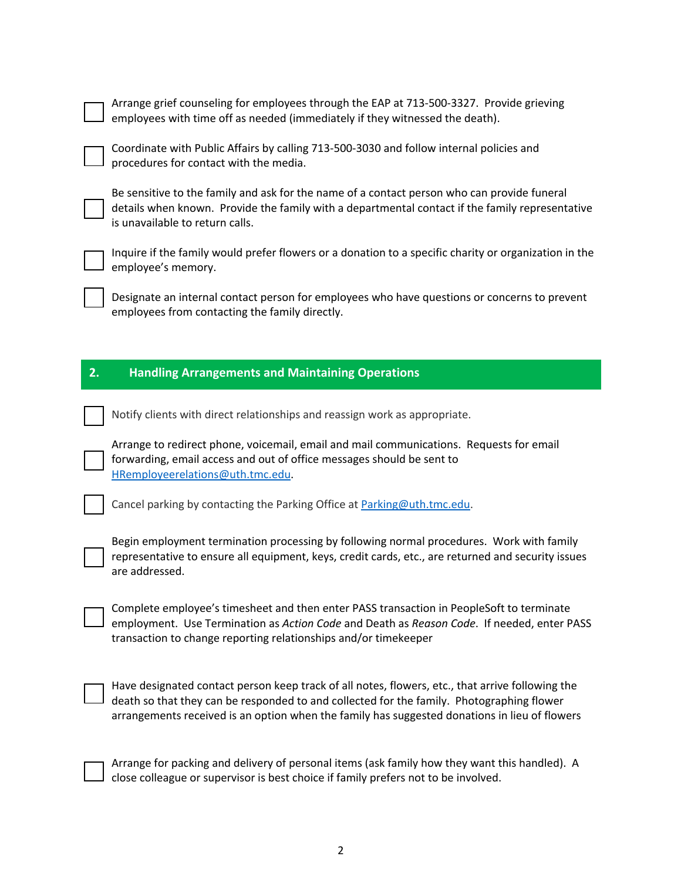| arrange grief counseling for employees through the EAP at 713-500-3327. Provide grieving |
|------------------------------------------------------------------------------------------|
| $\Box$ employees with time off as needed (immediately if they witnessed the death).      |

☐ Coordinate with Public Affairs by calling 713-500-3030 and follow internal policies and procedures for contact with the media.

Be sensitive to the family and ask for the name of a contact person who can provide funeral details when known. Provide the family with a departmental contact if the family representative is unavailable to return calls.

Inquire if the family would prefer flowers or a donation to a specific charity or organization in the employee's memory.

Designate an internal contact person for employees who have questions or concerns to prevent employees from contacting the family directly.

## **2. Handling Arrangements and Maintaining Operations**

Notify clients with direct relationships and reassign work as appropriate.

Arrange to redirect phone, voicemail, email and mail communications. Requests for email forwarding, email access and out of office messages should be sent to HRemployeerelations@uth.tmc.edu.

Cancel parking by contacting the Parking Office at Parking@uth.tmc.edu.

Begin employment termination processing by following normal procedures. Work with family representative to ensure all equipment, keys, credit cards, etc., are returned and security issues are addressed.

Complete employee's timesheet and then enter PASS transaction in PeopleSoft to terminate employment. Use Termination as *Action Code* and Death as *Reason Code*. If needed, enter PASS transaction to change reporting relationships and/or timekeeper

Have designated contact person keep track of all notes, flowers, etc., that arrive following the death so that they can be responded to and collected for the family. Photographing flower arrangements received is an option when the family has suggested donations in lieu of flowers

Arrange for packing and delivery of personal items (ask family how they want this handled). A close colleague or supervisor is best choice if family prefers not to be involved.